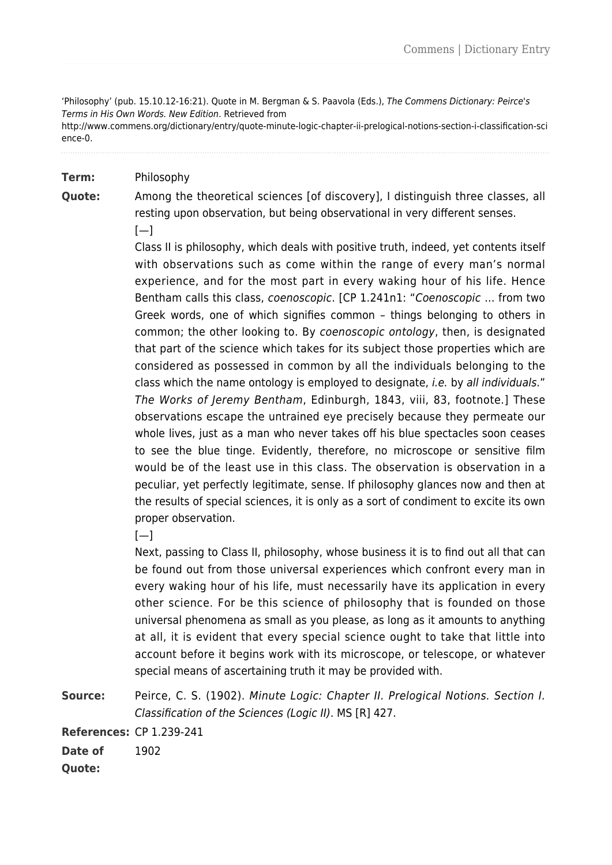'Philosophy' (pub. 15.10.12-16:21). Quote in M. Bergman & S. Paavola (Eds.), The Commens Dictionary: Peirce's Terms in His Own Words. New Edition. Retrieved from http://www.commens.org/dictionary/entry/quote-minute-logic-chapter-ii-prelogical-notions-section-i-classification-sci ence-0.

**Term:** Philosophy

**Quote:** Among the theoretical sciences [of discovery], I distinguish three classes, all resting upon observation, but being observational in very different senses.  $[-]$ 

> Class II is philosophy, which deals with positive truth, indeed, yet contents itself with observations such as come within the range of every man's normal experience, and for the most part in every waking hour of his life. Hence Bentham calls this class, coenoscopic. [CP 1.241n1: "Coenoscopic … from two Greek words, one of which signifies common – things belonging to others in common; the other looking to. By coenoscopic ontology, then, is designated that part of the science which takes for its subject those properties which are considered as possessed in common by all the individuals belonging to the class which the name ontology is employed to designate, i.e. by all individuals." The Works of Jeremy Bentham, Edinburgh, 1843, viii, 83, footnote.] These observations escape the untrained eye precisely because they permeate our whole lives, just as a man who never takes off his blue spectacles soon ceases to see the blue tinge. Evidently, therefore, no microscope or sensitive film would be of the least use in this class. The observation is observation in a peculiar, yet perfectly legitimate, sense. If philosophy glances now and then at the results of special sciences, it is only as a sort of condiment to excite its own proper observation.

 $[-]$ 

Next, passing to Class II, philosophy, whose business it is to find out all that can be found out from those universal experiences which confront every man in every waking hour of his life, must necessarily have its application in every other science. For be this science of philosophy that is founded on those universal phenomena as small as you please, as long as it amounts to anything at all, it is evident that every special science ought to take that little into account before it begins work with its microscope, or telescope, or whatever special means of ascertaining truth it may be provided with.

**Source:** Peirce, C. S. (1902). Minute Logic: Chapter II. Prelogical Notions. Section I. Classification of the Sciences (Logic II). MS [R] 427.

**References:** CP 1.239-241

**Date of** 1902

**Quote:**